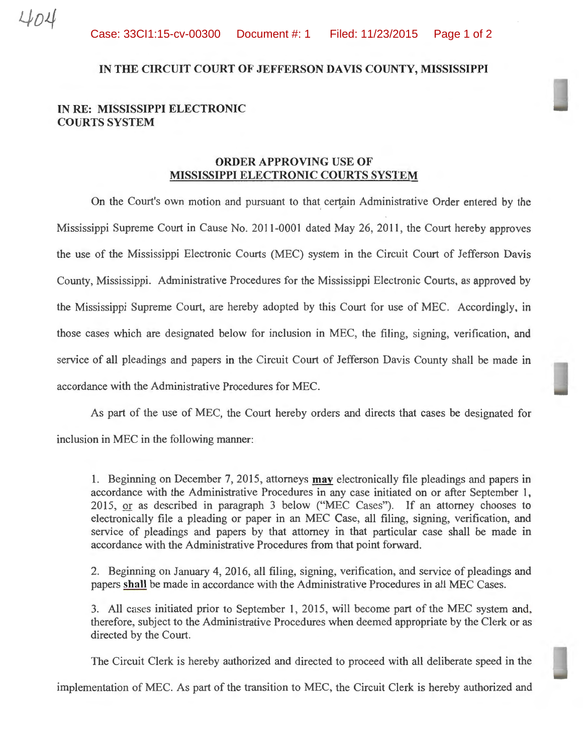## IN THE CIRCUIT COURT OF JEFFERSON DAVIS COUNTY, MISSISSIPPI

## IN RE: MISSISSIPPI ELECTRONIC COURTS SYSTEM

## ORDER APPROVING USE OF MISSISSIPPI ELECTRONIC COURTS SYSTEM

On the Court's own motion and pursuant to that certain Administrative Order entered by the Mississippi Supreme Court in Cause No. 2011-0001 dated May 26, 2011, the Court hereby approves the use of the Mississippi Electronic Courts (MEC) system in the Circuit Court of Jefferson Davis County, Mississippi. Administrative Procedures for the Mississippi Electronic Courts, as approved by the Mississippi Supreme Court, are hereby adopted by this Court for use of MEC. Accordingly, in those cases which are designated below for inclusion in MEC, the filing, signing, verification, and service of all pleadings and papers in the Circuit Court of Jefferson Davis County shall be made in accordance with the Administrative Procedures for MEC.

As part of the use of MEC, the Court hereby orders and directs that cases be designated for inclusion in MEC in the following manner:

1. Beginning on December 7, 2015, attorneys **may** electronically file pleadings and papers in accordance with the Administrative Procedures in any case initiated on or after September 1,  $2015$ , or as described in paragraph 3 below ("MEC Cases"). If an attorney chooses to electronically file a pleading or paper in an MEC Case, all filing, signing, verification, and service of pleadings and papers by that attorney in that particular case shall be made in accordance with the Administrative Procedures from that point forward.

2. Beginning on January 4, 2016, all filing, signing, verification, and service of pleadings and papers shall be made in accordance with the Administrative Procedures in all MEC Cases.

3. All cases initiated prior to September 1, 2015, will become part of the MEC system and, therefore, subject to the Administrative Procedures when deemed appropriate by the Clerk or as directed by the Court.

The Circuit Clerk is hereby authorized and directed to proceed with all deliberate speed in the

implementation of MEC. As part of the transition to MEC, the Circuit Clerk is hereby authorized and